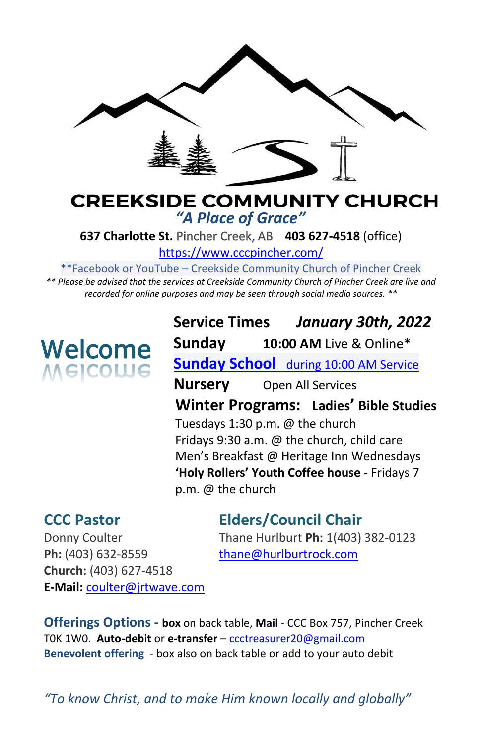

#### **CREEKSIDE COMMUNITY CHURCH** *"A Place of Grace"*

**637 Charlotte St.** Pincher Creek, AB **403 627-4518** (office)

<https://www.cccpincher.com/>

\*\*Facebook or YouTube – Creekside Community Church of Pincher Creek

*\*\* Please be advised that the services at Creekside Community Church of Pincher Creek are live and recorded for online purposes and may be seen through social media sources. \*\**

# **Welcome**<br>Melcolue

**Service Times** *January 30th, 2022* **Sunday 10:00 AM** Live & Online\* **Sunday School** during 10:00 AM Service **Nursery** Open All Services **Winter Programs: Ladies' Bible Studies** Tuesdays 1:30 p.m. @ the church Fridays 9:30 a.m.  $\omega$  the church, child care Men's Breakfast @ Heritage Inn Wednesdays **'Holy Rollers' Youth Coffee house** - Fridays 7 p.m. @ the church

**CCC Pastor Elders/Council Chair**

Ph: (403) 632-8559 [thane@hurlburtrock.com](mailto:thane@hurlburtrock.com) **Church:** (403) 627-4518 **E-Mail:** [coulter@jrtwave.com](mailto:coulter@jrtwave.com)

Donny Coulter Thane Hurlburt **Ph:** 1(403) 382-0123

**Offerings Options - box** on back table, **Mail** - CCC Box 757, Pincher Creek T0K 1W0. **Auto-debit** or **e-transfer** – [ccctreasurer20@gmail.com](mailto:ccctreasurer20@gmail.com) **Benevolent offering** - box also on back table or add to your auto debit

*"To know Christ, and to make Him known locally and globally"*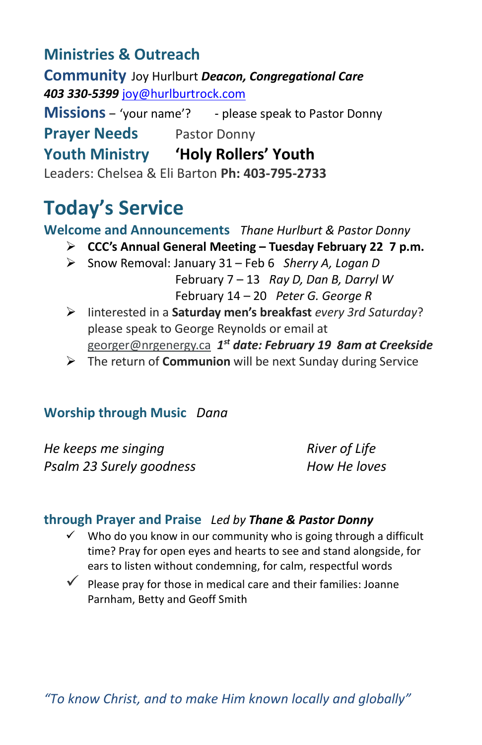## **Ministries & Outreach**

**Community** Joy Hurlburt *Deacon, Congregational Care 403 330-5399* [joy@hurlburtrock.com](mailto:joy@hurlburtrock.com)

**Missions** – 'your name'? - please speak to Pastor Donny **Prayer Needs** Pastor Donny **Youth Ministry 'Holy Rollers' Youth**

Leaders: Chelsea & Eli Barton **Ph: 403-795-2733**

## **Today's Service**

**Welcome and Announcements** *Thane Hurlburt & Pastor Donny*

- ➢ **CCC's Annual General Meeting – Tuesday February 22 7 p.m.**
- ➢ Snow Removal: January 31 Feb 6 *Sherry A, Logan D* February 7 – 13 *Ray D, Dan B, Darryl W* February 14 – 20 *Peter G. George R*
- ➢ Iinterested in a **Saturday men's breakfast** *every 3rd Saturday*? please speak to George Reynolds or email at [georger@nrgenergy.ca](mailto:georger@nrgenergy.ca) *1 st date: February 19 8am at Creekside*
- ➢ The return of **Communion** will be next Sunday during Service

#### **Worship through Music** *Dana*

*He keeps me singing River of Life Psalm 23 Surely goodness How He loves*

#### **through Prayer and Praise** *Led by Thane & Pastor Donny*

- Who do you know in our community who is going through a difficult time? Pray for open eyes and hearts to see and stand alongside, for ears to listen without condemning, for calm, respectful words
- $\checkmark$  Please prav for those in medical care and their families: Joanne Parnham, Betty and Geoff Smith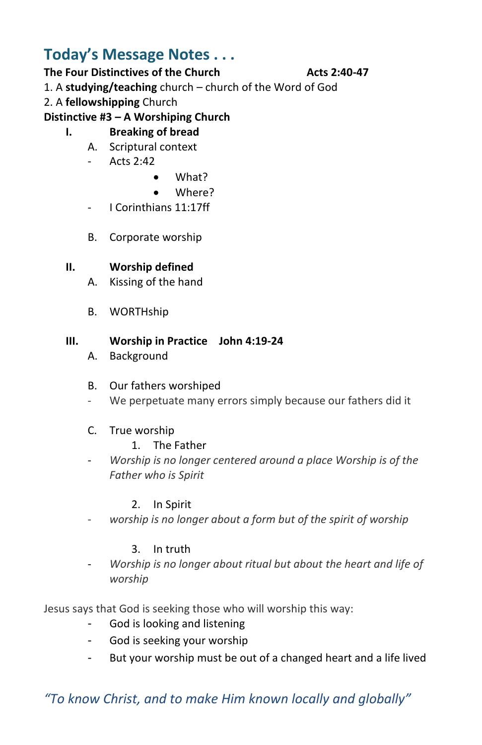### **Today's Message Notes . . .**

#### **The Four Distinctives of the Church Acts 2:40-47**

#### 1. A **studying/teaching** church – church of the Word of God

2. A **fellowshipping** Church

**Distinctive #3 – A Worshiping Church**

#### **I. Breaking of bread**

- A. Scriptural context
- Acts 2:42
	- What?
	- Where?
- I Corinthians 11:17ff
- B. Corporate worship

#### **II. Worship defined**

- A. Kissing of the hand
- B. WORTHship

#### **III. Worship in Practice John 4:19-24**

A. Background

#### B. Our fathers worshiped

- We perpetuate many errors simply because our fathers did it

#### C. True worship

- 1. The Father
- *Worship is no longer centered around a place Worship is of the Father who is Spirit*

#### 2. In Spirit

worship is no longer about a form but of the spirit of worship

#### 3. In truth

- *Worship is no longer about ritual but about the heart and life of worship*

Jesus says that God is seeking those who will worship this way:

- God is looking and listening
- God is seeking your worship
- But your worship must be out of a changed heart and a life lived

#### *"To know Christ, and to make Him known locally and globally"*